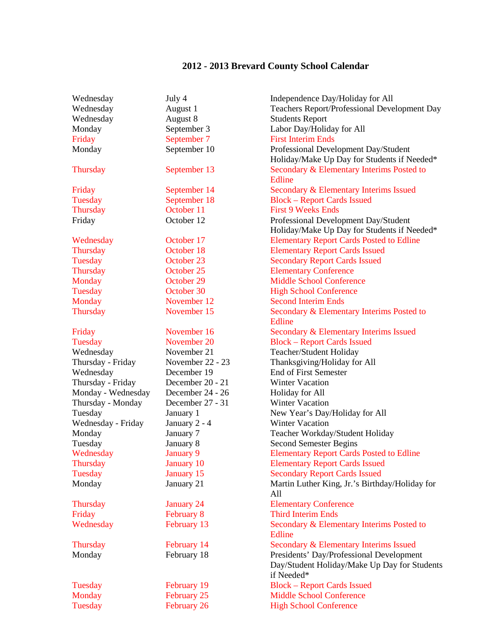## **2012 - 2013 Brevard County School Calendar**

| Wednesday          | July 4                     | Independence Day/Holiday for All                              |
|--------------------|----------------------------|---------------------------------------------------------------|
| Wednesday          | August 1                   | <b>Teachers Report/Professional Development Day</b>           |
| Wednesday          | August 8                   | <b>Students Report</b>                                        |
| Monday             | September 3                | Labor Day/Holiday for All                                     |
| Friday             | September 7                | <b>First Interim Ends</b>                                     |
| Monday             | September 10               | Professional Development Day/Student                          |
|                    |                            | Holiday/Make Up Day for Students if Needed*                   |
| <b>Thursday</b>    | September 13               | Secondary & Elementary Interims Posted to                     |
|                    |                            | Edline                                                        |
| Friday             | September 14               | Secondary & Elementary Interims Issued                        |
| Tuesday            | September 18               | <b>Block - Report Cards Issued</b>                            |
| <b>Thursday</b>    | October 11                 | <b>First 9 Weeks Ends</b>                                     |
| Friday             | October 12                 | Professional Development Day/Student                          |
|                    |                            | Holiday/Make Up Day for Students if Needed*                   |
| Wednesday          | October 17                 | <b>Elementary Report Cards Posted to Edline</b>               |
| Thursday           | October 18                 | <b>Elementary Report Cards Issued</b>                         |
| Tuesday            | October 23                 | <b>Secondary Report Cards Issued</b>                          |
| Thursday           | October 25                 | <b>Elementary Conference</b>                                  |
| Monday             | October 29                 | <b>Middle School Conference</b>                               |
| Tuesday            | October 30                 | <b>High School Conference</b>                                 |
| Monday             | November 12                | <b>Second Interim Ends</b>                                    |
| Thursday           | November 15                | Secondary & Elementary Interims Posted to                     |
|                    |                            | Edline                                                        |
|                    | November 16                |                                                               |
| Friday             |                            | Secondary & Elementary Interims Issued                        |
| Tuesday            | November 20<br>November 21 | <b>Block - Report Cards Issued</b><br>Teacher/Student Holiday |
| Wednesday          |                            |                                                               |
| Thursday - Friday  | November 22 - 23           | Thanksgiving/Holiday for All<br><b>End of First Semester</b>  |
| Wednesday          | December 19                |                                                               |
| Thursday - Friday  | December 20 - 21           | <b>Winter Vacation</b>                                        |
| Monday - Wednesday | December 24 - 26           | Holiday for All                                               |
| Thursday - Monday  | December 27 - 31           | <b>Winter Vacation</b>                                        |
| Tuesday            | January 1                  | New Year's Day/Holiday for All                                |
| Wednesday - Friday | January 2 - 4              | <b>Winter Vacation</b>                                        |
| Monday             | January 7                  | Teacher Workday/Student Holiday                               |
| Tuesday            | January 8                  | <b>Second Semester Begins</b>                                 |
| Wednesday          | January 9                  | <b>Elementary Report Cards Posted to Edline</b>               |
| <b>Thursday</b>    | January 10                 | <b>Elementary Report Cards Issued</b>                         |
| Tuesday            | January 15                 | <b>Secondary Report Cards Issued</b>                          |
| Monday             | January 21                 | Martin Luther King, Jr.'s Birthday/Holiday for                |
|                    |                            | All                                                           |
| Thursday           | <b>January 24</b>          | <b>Elementary Conference</b>                                  |
| Friday             | February 8                 | <b>Third Interim Ends</b>                                     |
| Wednesday          | February 13                | Secondary & Elementary Interims Posted to                     |
|                    |                            | Edline                                                        |
| Thursday           | February 14                | Secondary & Elementary Interims Issued                        |
| Monday             | February 18                | Presidents' Day/Professional Development                      |
|                    |                            | Day/Student Holiday/Make Up Day for Students                  |
|                    |                            | if Needed*                                                    |
| Tuesday            | February 19                | <b>Block – Report Cards Issued</b>                            |
| Monday             | February 25                | <b>Middle School Conference</b>                               |
| Tuesday            | February 26                | <b>High School Conference</b>                                 |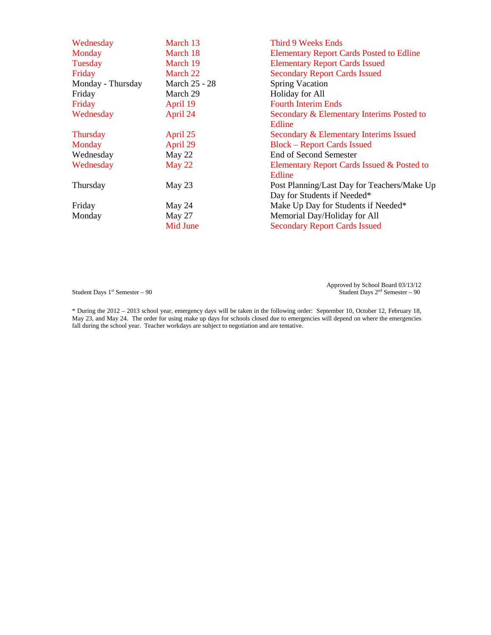| Wednesday         | March 13        | <b>Third 9 Weeks Ends</b>                       |
|-------------------|-----------------|-------------------------------------------------|
| Monday            | March 18        | <b>Elementary Report Cards Posted to Edline</b> |
| Tuesday           | March 19        | <b>Elementary Report Cards Issued</b>           |
| Friday            | March 22        | <b>Secondary Report Cards Issued</b>            |
| Monday - Thursday | March 25 - 28   | <b>Spring Vacation</b>                          |
| Friday            | March 29        | Holiday for All                                 |
| Friday            | April 19        | <b>Fourth Interim Ends</b>                      |
| Wednesday         | April 24        | Secondary & Elementary Interims Posted to       |
|                   |                 | Edline                                          |
| <b>Thursday</b>   | April 25        | Secondary & Elementary Interims Issued          |
| Monday            | April 29        | <b>Block – Report Cards Issued</b>              |
| Wednesday         | May 22          | <b>End of Second Semester</b>                   |
| Wednesday         | May 22          | Elementary Report Cards Issued & Posted to      |
|                   |                 | Edline                                          |
| Thursday          | May 23          | Post Planning/Last Day for Teachers/Make Up     |
|                   |                 | Day for Students if Needed*                     |
| Friday            | May 24          | Make Up Day for Students if Needed*             |
| Monday            | May 27          | Memorial Day/Holiday for All                    |
|                   | <b>Mid June</b> | <b>Secondary Report Cards Issued</b>            |

Approved by School Board 03/13/12<br>Student Days 1<sup>st</sup> Semester – 90 Student Days 2<sup>nd</sup> Semester – 90

\* During the 2012 – 2013 school year, emergency days will be taken in the following order: September 10, October 12, February 18, May 23, and May 24. The order for using make up days for schools closed due to emergencies will depend on where the emergencies fall during the school year. Teacher workdays are subject to negotiation and are tentative.